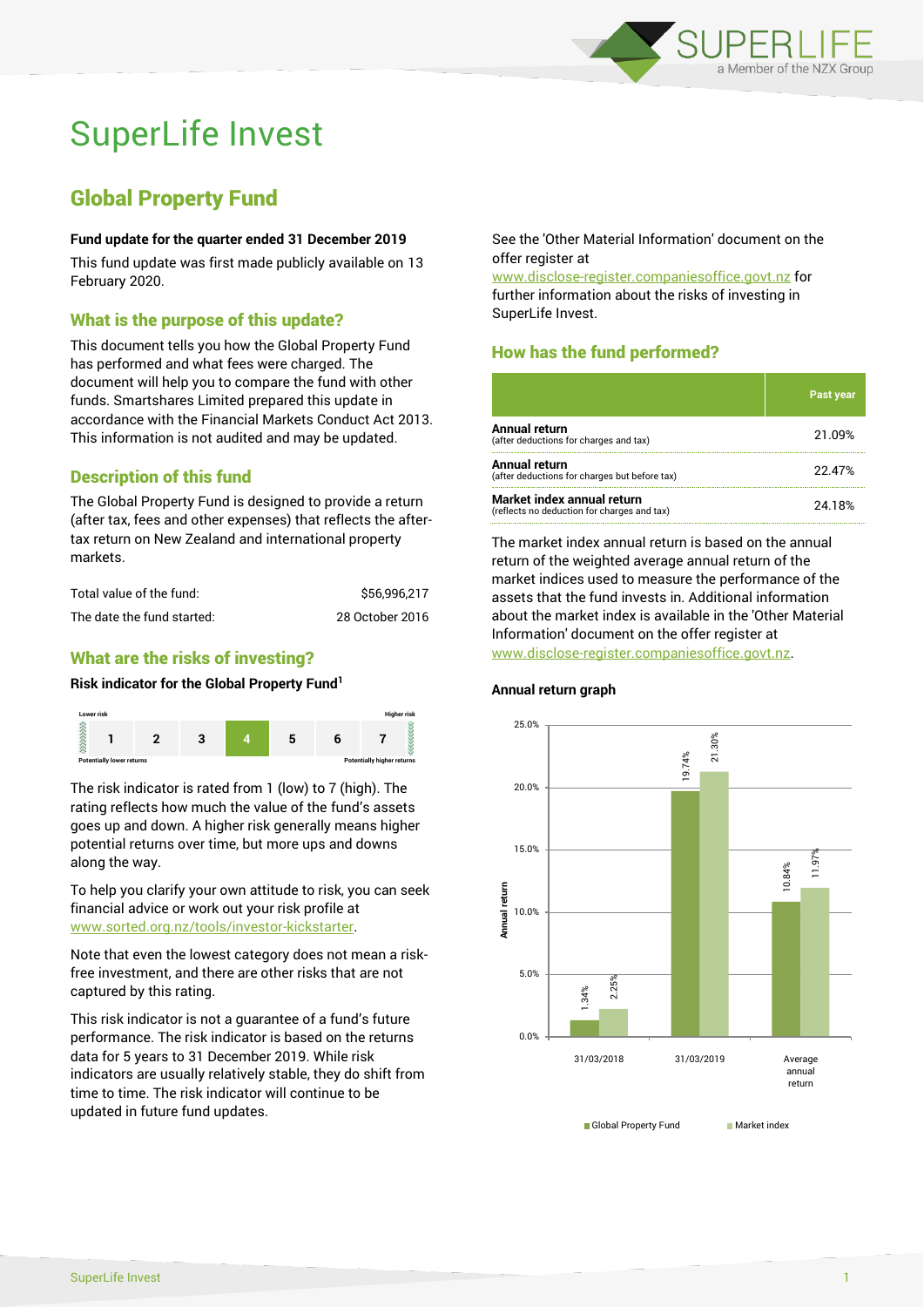

# SuperLife Invest

## Global Property Fund

#### **Fund update for the quarter ended 31 December 2019**

This fund update was first made publicly available on 13 February 2020.

## What is the purpose of this update?

This document tells you how the Global Property Fund has performed and what fees were charged. The document will help you to compare the fund with other funds. Smartshares Limited prepared this update in accordance with the Financial Markets Conduct Act 2013. This information is not audited and may be updated.

## Description of this fund

The Global Property Fund is designed to provide a return (after tax, fees and other expenses) that reflects the aftertax return on New Zealand and international property markets.

| Total value of the fund:   | \$56.996.217    |
|----------------------------|-----------------|
| The date the fund started: | 28 October 2016 |

## What are the risks of investing?

#### **Risk indicator for the Global Property Fund<sup>1</sup>**



The risk indicator is rated from 1 (low) to 7 (high). The rating reflects how much the value of the fund's assets goes up and down. A higher risk generally means higher potential returns over time, but more ups and downs along the way.

To help you clarify your own attitude to risk, you can seek financial advice or work out your risk profile at [www.sorted.org.nz/tools/investor-kickstarter.](http://www.sorted.org.nz/tools/investor-kickstarter)

Note that even the lowest category does not mean a riskfree investment, and there are other risks that are not captured by this rating.

This risk indicator is not a guarantee of a fund's future performance. The risk indicator is based on the returns data for 5 years to 31 December 2019. While risk indicators are usually relatively stable, they do shift from time to time. The risk indicator will continue to be updated in future fund updates.

See the 'Other Material Information' document on the offer register at

www.disclose-register.companiesoffice.govt.nz for further information about the risks of investing in SuperLife Invest.

## How has the fund performed?

|                                                                           | <b>Past year</b> |
|---------------------------------------------------------------------------|------------------|
| Annual return<br>(after deductions for charges and tax)                   | 21.09%           |
| Annual return<br>(after deductions for charges but before tax)            | 22.47%           |
| Market index annual return<br>(reflects no deduction for charges and tax) | 24.18%           |

The market index annual return is based on the annual return of the weighted average annual return of the market indices used to measure the performance of the assets that the fund invests in. Additional information about the market index is available in the 'Other Material Information' document on the offer register at www.disclose-register.companiesoffice.govt.nz.



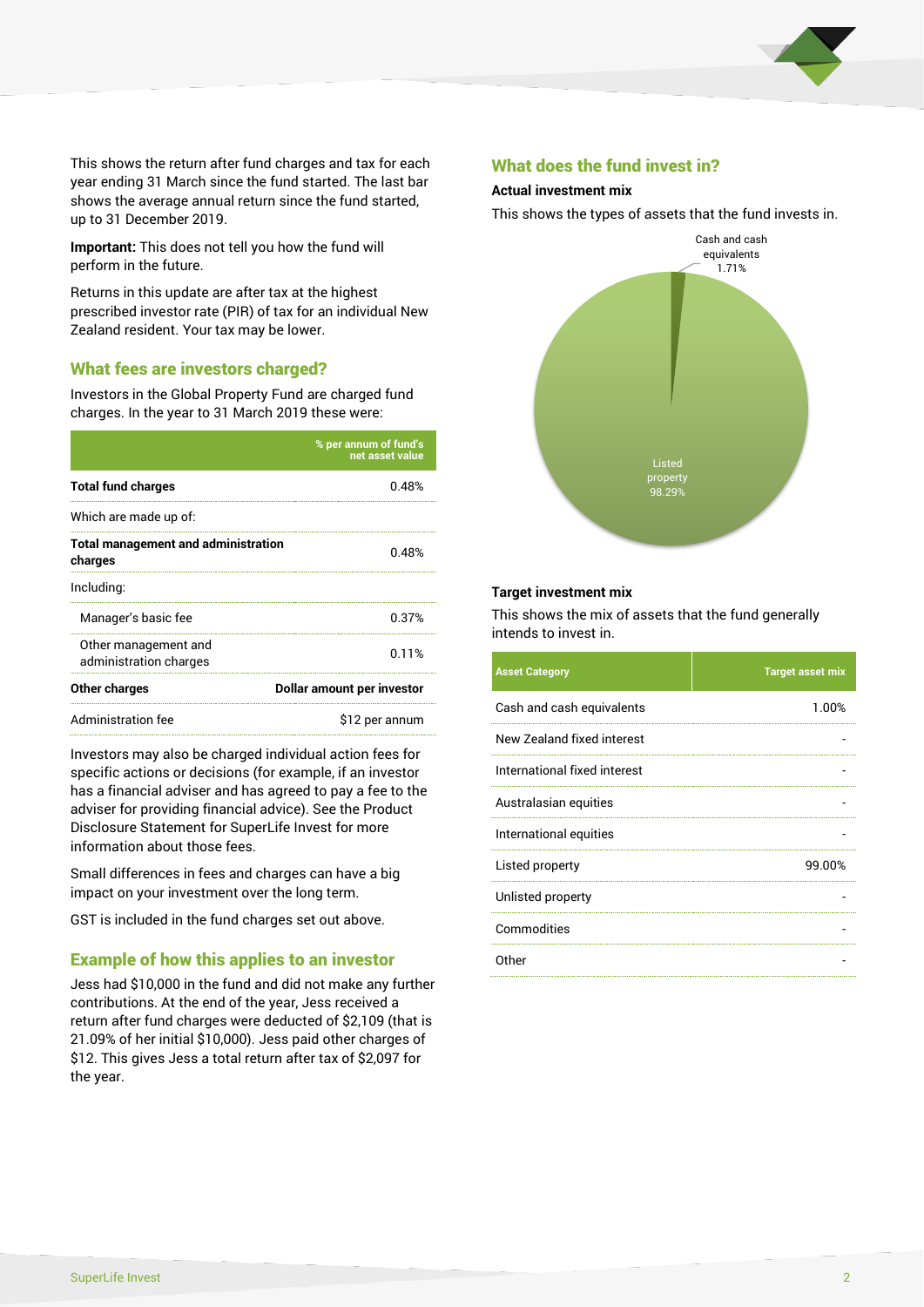

This shows the return after fund charges and tax for each year ending 31 March since the fund started. The last bar shows the average annual return since the fund started, up to 31 December 2019.

**Important:** This does not tell you how the fund will perform in the future.

Returns in this update are after tax at the highest prescribed investor rate (PIR) of tax for an individual New Zealand resident. Your tax may be lower.

#### What fees are investors charged?

Investors in the Global Property Fund are charged fund charges. In the year to 31 March 2019 these were:

|                                                       | % per annum of fund's<br>net asset value |  |
|-------------------------------------------------------|------------------------------------------|--|
| <b>Total fund charges</b>                             | 0.48%                                    |  |
| Which are made up of:                                 |                                          |  |
| <b>Total management and administration</b><br>charges | 0.48%                                    |  |
| Including:                                            |                                          |  |
| Manager's basic fee                                   | 0.37%                                    |  |
| Other management and<br>administration charges        | 0.11%                                    |  |
| Other charges                                         | Dollar amount per investor               |  |
| Administration fee                                    | \$12 per annum                           |  |

Investors may also be charged individual action fees for specific actions or decisions (for example, if an investor has a financial adviser and has agreed to pay a fee to the adviser for providing financial advice). See the Product Disclosure Statement for SuperLife Invest for more information about those fees.

Small differences in fees and charges can have a big impact on your investment over the long term.

GST is included in the fund charges set out above.

### Example of how this applies to an investor

Jess had \$10,000 in the fund and did not make any further contributions. At the end of the year, Jess received a return after fund charges were deducted of \$2,109 (that is 21.09% of her initial \$10,000). Jess paid other charges of \$12. This gives Jess a total return after tax of \$2,097 for the year.

#### What does the fund invest in?

#### **Actual investment mix**

This shows the types of assets that the fund invests in.



#### **Target investment mix**

This shows the mix of assets that the fund generally intends to invest in.

| <b>Asset Category</b>        | <b>Target asset mix</b> |
|------------------------------|-------------------------|
| Cash and cash equivalents    | 1.00%                   |
| New Zealand fixed interest   |                         |
| International fixed interest |                         |
| Australasian equities        |                         |
| International equities       |                         |
| Listed property              | 99.00%                  |
| Unlisted property            |                         |
| Commodities                  |                         |
| Other                        |                         |